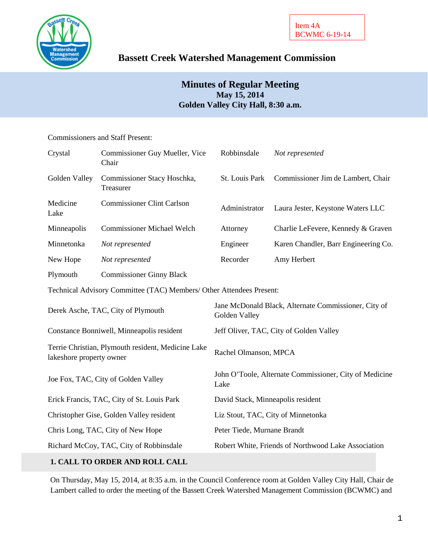

# **Bassett Creek Watershed Management Commission**

## **Minutes of Regular Meeting May 15, 2014 Golden Valley City Hall, 8:30 a.m.**

#### Commissioners and Staff Present:

| Crystal                                                                        | Commissioner Guy Mueller, Vice<br>Chair                              | Robbinsdale                                                           | Not represented                      |  |
|--------------------------------------------------------------------------------|----------------------------------------------------------------------|-----------------------------------------------------------------------|--------------------------------------|--|
| Golden Valley                                                                  | Commissioner Stacy Hoschka,<br>Treasurer                             | St. Louis Park                                                        | Commissioner Jim de Lambert, Chair   |  |
| Medicine<br>Lake                                                               | <b>Commissioner Clint Carlson</b>                                    | Administrator                                                         | Laura Jester, Keystone Waters LLC    |  |
| Minneapolis                                                                    | <b>Commissioner Michael Welch</b>                                    | Attorney                                                              | Charlie LeFevere, Kennedy & Graven   |  |
| Minnetonka                                                                     | Not represented                                                      | Engineer                                                              | Karen Chandler, Barr Engineering Co. |  |
| New Hope                                                                       | Not represented                                                      | Recorder                                                              | Amy Herbert                          |  |
| Plymouth                                                                       | <b>Commissioner Ginny Black</b>                                      |                                                                       |                                      |  |
|                                                                                | Technical Advisory Committee (TAC) Members/ Other Attendees Present: |                                                                       |                                      |  |
| Derek Asche, TAC, City of Plymouth                                             |                                                                      | Jane McDonald Black, Alternate Commissioner, City of<br>Golden Valley |                                      |  |
| Constance Bonniwell, Minneapolis resident                                      |                                                                      | Jeff Oliver, TAC, City of Golden Valley                               |                                      |  |
| Terrie Christian, Plymouth resident, Medicine Lake<br>lakeshore property owner |                                                                      | Rachel Olmanson, MPCA                                                 |                                      |  |
| Joe Fox, TAC, City of Golden Valley                                            |                                                                      | John O'Toole, Alternate Commissioner, City of Medicine<br>Lake        |                                      |  |
| Erick Francis, TAC, City of St. Louis Park                                     |                                                                      | David Stack, Minneapolis resident                                     |                                      |  |
| Christopher Gise, Golden Valley resident                                       |                                                                      | Liz Stout, TAC, City of Minnetonka                                    |                                      |  |
| Chris Long, TAC, City of New Hope                                              |                                                                      | Peter Tiede, Murnane Brandt                                           |                                      |  |
| Richard McCoy, TAC, City of Robbinsdale                                        |                                                                      | Robert White, Friends of Northwood Lake Association                   |                                      |  |
|                                                                                | <b>1. CALL TO ORDER AND ROLL CALL</b>                                |                                                                       |                                      |  |

On Thursday, May 15, 2014, at 8:35 a.m. in the Council Conference room at Golden Valley City Hall, Chair de Lambert called to order the meeting of the Bassett Creek Watershed Management Commission (BCWMC) and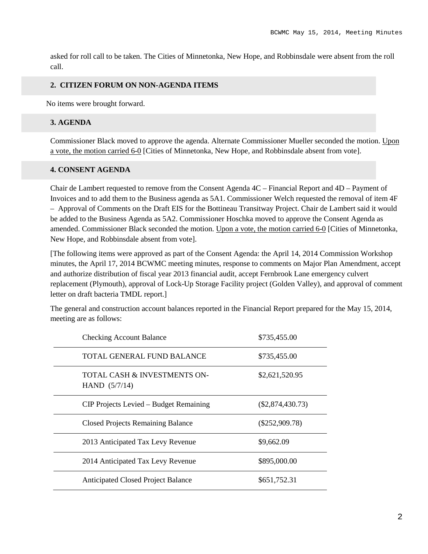asked for roll call to be taken. The Cities of Minnetonka, New Hope, and Robbinsdale were absent from the roll call.

#### **2. CITIZEN FORUM ON NON-AGENDA ITEMS**

No items were brought forward.

#### **3. AGENDA**

Commissioner Black moved to approve the agenda. Alternate Commissioner Mueller seconded the motion. Upon a vote, the motion carried 6-0 [Cities of Minnetonka, New Hope, and Robbinsdale absent from vote].

## **4. CONSENT AGENDA**

Chair de Lambert requested to remove from the Consent Agenda 4C – Financial Report and 4D – Payment of Invoices and to add them to the Business agenda as 5A1. Commissioner Welch requested the removal of item 4F – Approval of Comments on the Draft EIS for the Bottineau Transitway Project. Chair de Lambert said it would be added to the Business Agenda as 5A2. Commissioner Hoschka moved to approve the Consent Agenda as amended. Commissioner Black seconded the motion. Upon a vote, the motion carried 6-0 [Cities of Minnetonka, New Hope, and Robbinsdale absent from vote].

[The following items were approved as part of the Consent Agenda: the April 14, 2014 Commission Workshop minutes, the April 17, 2014 BCWMC meeting minutes, response to comments on Major Plan Amendment, accept and authorize distribution of fiscal year 2013 financial audit, accept Fernbrook Lane emergency culvert replacement (Plymouth), approval of Lock-Up Storage Facility project (Golden Valley), and approval of comment letter on draft bacteria TMDL report.]

The general and construction account balances reported in the Financial Report prepared for the May 15, 2014, meeting are as follows:

| <b>Checking Account Balance</b>                 | \$735,455.00       |
|-------------------------------------------------|--------------------|
| TOTAL GENERAL FUND BALANCE                      | \$735,455.00       |
| TOTAL CASH & INVESTMENTS ON-<br>HAND $(5/7/14)$ | \$2,621,520.95     |
| CIP Projects Levied – Budget Remaining          | $(\$2,874,430.73)$ |
| <b>Closed Projects Remaining Balance</b>        | $(\$252,909.78)$   |
| 2013 Anticipated Tax Levy Revenue               | \$9,662.09         |
| 2014 Anticipated Tax Levy Revenue               | \$895,000.00       |
| <b>Anticipated Closed Project Balance</b>       | \$651,752.31       |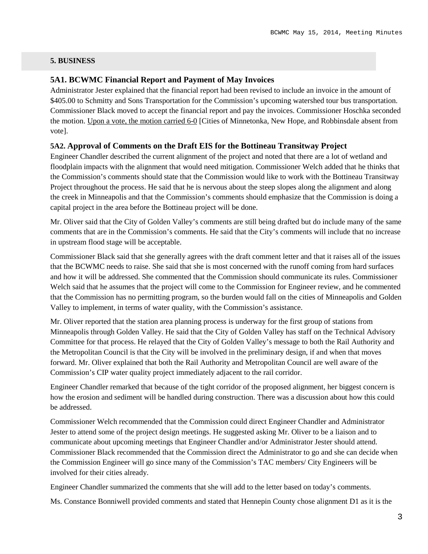#### **5. BUSINESS**

#### **5A1. BCWMC Financial Report and Payment of May Invoices**

Administrator Jester explained that the financial report had been revised to include an invoice in the amount of \$405.00 to Schmitty and Sons Transportation for the Commission's upcoming watershed tour bus transportation. Commissioner Black moved to accept the financial report and pay the invoices. Commissioner Hoschka seconded the motion. Upon a vote, the motion carried 6-0 [Cities of Minnetonka, New Hope, and Robbinsdale absent from vote].

#### **5A2. Approval of Comments on the Draft EIS for the Bottineau Transitway Project**

Engineer Chandler described the current alignment of the project and noted that there are a lot of wetland and floodplain impacts with the alignment that would need mitigation. Commissioner Welch added that he thinks that the Commission's comments should state that the Commission would like to work with the Bottineau Transitway Project throughout the process. He said that he is nervous about the steep slopes along the alignment and along the creek in Minneapolis and that the Commission's comments should emphasize that the Commission is doing a capital project in the area before the Bottineau project will be done.

Mr. Oliver said that the City of Golden Valley's comments are still being drafted but do include many of the same comments that are in the Commission's comments. He said that the City's comments will include that no increase in upstream flood stage will be acceptable.

Commissioner Black said that she generally agrees with the draft comment letter and that it raises all of the issues that the BCWMC needs to raise. She said that she is most concerned with the runoff coming from hard surfaces and how it will be addressed. She commented that the Commission should communicate its rules. Commissioner Welch said that he assumes that the project will come to the Commission for Engineer review, and he commented that the Commission has no permitting program, so the burden would fall on the cities of Minneapolis and Golden Valley to implement, in terms of water quality, with the Commission's assistance.

Mr. Oliver reported that the station area planning process is underway for the first group of stations from Minneapolis through Golden Valley. He said that the City of Golden Valley has staff on the Technical Advisory Committee for that process. He relayed that the City of Golden Valley's message to both the Rail Authority and the Metropolitan Council is that the City will be involved in the preliminary design, if and when that moves forward. Mr. Oliver explained that both the Rail Authority and Metropolitan Council are well aware of the Commission's CIP water quality project immediately adjacent to the rail corridor.

Engineer Chandler remarked that because of the tight corridor of the proposed alignment, her biggest concern is how the erosion and sediment will be handled during construction. There was a discussion about how this could be addressed.

Commissioner Welch recommended that the Commission could direct Engineer Chandler and Administrator Jester to attend some of the project design meetings. He suggested asking Mr. Oliver to be a liaison and to communicate about upcoming meetings that Engineer Chandler and/or Administrator Jester should attend. Commissioner Black recommended that the Commission direct the Administrator to go and she can decide when the Commission Engineer will go since many of the Commission's TAC members/ City Engineers will be involved for their cities already.

Engineer Chandler summarized the comments that she will add to the letter based on today's comments.

Ms. Constance Bonniwell provided comments and stated that Hennepin County chose alignment D1 as it is the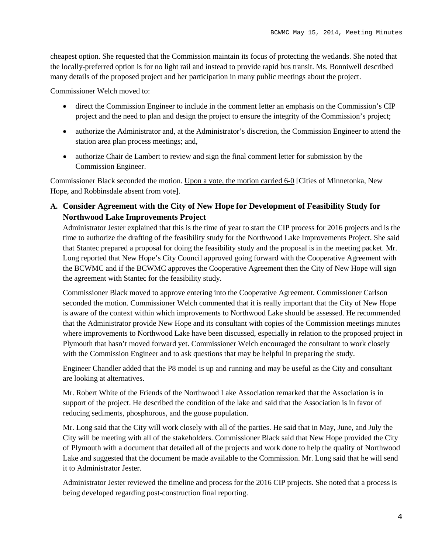cheapest option. She requested that the Commission maintain its focus of protecting the wetlands. She noted that the locally-preferred option is for no light rail and instead to provide rapid bus transit. Ms. Bonniwell described many details of the proposed project and her participation in many public meetings about the project.

Commissioner Welch moved to:

- direct the Commission Engineer to include in the comment letter an emphasis on the Commission's CIP project and the need to plan and design the project to ensure the integrity of the Commission's project;
- authorize the Administrator and, at the Administrator's discretion, the Commission Engineer to attend the station area plan process meetings; and,
- authorize Chair de Lambert to review and sign the final comment letter for submission by the Commission Engineer.

Commissioner Black seconded the motion. Upon a vote, the motion carried 6-0 [Cities of Minnetonka, New Hope, and Robbinsdale absent from vote].

**A. Consider Agreement with the City of New Hope for Development of Feasibility Study for Northwood Lake Improvements Project**

Administrator Jester explained that this is the time of year to start the CIP process for 2016 projects and is the time to authorize the drafting of the feasibility study for the Northwood Lake Improvements Project. She said that Stantec prepared a proposal for doing the feasibility study and the proposal is in the meeting packet. Mr. Long reported that New Hope's City Council approved going forward with the Cooperative Agreement with the BCWMC and if the BCWMC approves the Cooperative Agreement then the City of New Hope will sign the agreement with Stantec for the feasibility study.

Commissioner Black moved to approve entering into the Cooperative Agreement. Commissioner Carlson seconded the motion. Commissioner Welch commented that it is really important that the City of New Hope is aware of the context within which improvements to Northwood Lake should be assessed. He recommended that the Administrator provide New Hope and its consultant with copies of the Commission meetings minutes where improvements to Northwood Lake have been discussed, especially in relation to the proposed project in Plymouth that hasn't moved forward yet. Commissioner Welch encouraged the consultant to work closely with the Commission Engineer and to ask questions that may be helpful in preparing the study.

Engineer Chandler added that the P8 model is up and running and may be useful as the City and consultant are looking at alternatives.

Mr. Robert White of the Friends of the Northwood Lake Association remarked that the Association is in support of the project. He described the condition of the lake and said that the Association is in favor of reducing sediments, phosphorous, and the goose population.

Mr. Long said that the City will work closely with all of the parties. He said that in May, June, and July the City will be meeting with all of the stakeholders. Commissioner Black said that New Hope provided the City of Plymouth with a document that detailed all of the projects and work done to help the quality of Northwood Lake and suggested that the document be made available to the Commission. Mr. Long said that he will send it to Administrator Jester.

Administrator Jester reviewed the timeline and process for the 2016 CIP projects. She noted that a process is being developed regarding post-construction final reporting.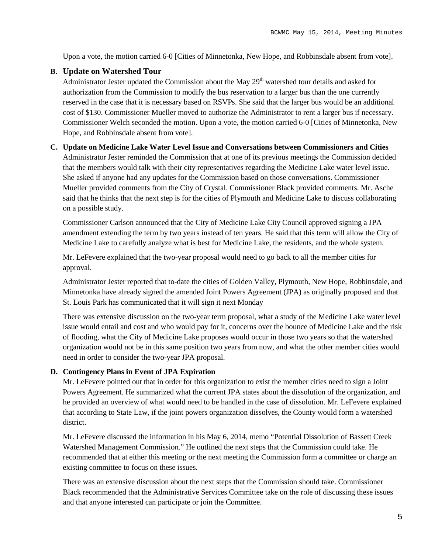Upon a vote, the motion carried 6-0 [Cities of Minnetonka, New Hope, and Robbinsdale absent from vote].

#### **B. Update on Watershed Tour**

Administrator Jester updated the Commission about the May  $29<sup>th</sup>$  watershed tour details and asked for authorization from the Commission to modify the bus reservation to a larger bus than the one currently reserved in the case that it is necessary based on RSVPs. She said that the larger bus would be an additional cost of \$130. Commissioner Mueller moved to authorize the Administrator to rent a larger bus if necessary. Commissioner Welch seconded the motion. Upon a vote, the motion carried 6-0 [Cities of Minnetonka, New Hope, and Robbinsdale absent from vote].

#### **C. Update on Medicine Lake Water Level Issue and Conversations between Commissioners and Cities**

Administrator Jester reminded the Commission that at one of its previous meetings the Commission decided that the members would talk with their city representatives regarding the Medicine Lake water level issue. She asked if anyone had any updates for the Commission based on those conversations. Commissioner Mueller provided comments from the City of Crystal. Commissioner Black provided comments. Mr. Asche said that he thinks that the next step is for the cities of Plymouth and Medicine Lake to discuss collaborating on a possible study.

Commissioner Carlson announced that the City of Medicine Lake City Council approved signing a JPA amendment extending the term by two years instead of ten years. He said that this term will allow the City of Medicine Lake to carefully analyze what is best for Medicine Lake, the residents, and the whole system.

Mr. LeFevere explained that the two-year proposal would need to go back to all the member cities for approval.

Administrator Jester reported that to-date the cities of Golden Valley, Plymouth, New Hope, Robbinsdale, and Minnetonka have already signed the amended Joint Powers Agreement (JPA) as originally proposed and that St. Louis Park has communicated that it will sign it next Monday

There was extensive discussion on the two-year term proposal, what a study of the Medicine Lake water level issue would entail and cost and who would pay for it, concerns over the bounce of Medicine Lake and the risk of flooding, what the City of Medicine Lake proposes would occur in those two years so that the watershed organization would not be in this same position two years from now, and what the other member cities would need in order to consider the two-year JPA proposal.

#### **D. Contingency Plans in Event of JPA Expiration**

Mr. LeFevere pointed out that in order for this organization to exist the member cities need to sign a Joint Powers Agreement. He summarized what the current JPA states about the dissolution of the organization, and he provided an overview of what would need to be handled in the case of dissolution. Mr. LeFevere explained that according to State Law, if the joint powers organization dissolves, the County would form a watershed district.

Mr. LeFevere discussed the information in his May 6, 2014, memo "Potential Dissolution of Bassett Creek Watershed Management Commission." He outlined the next steps that the Commission could take. He recommended that at either this meeting or the next meeting the Commission form a committee or charge an existing committee to focus on these issues.

There was an extensive discussion about the next steps that the Commission should take. Commissioner Black recommended that the Administrative Services Committee take on the role of discussing these issues and that anyone interested can participate or join the Committee.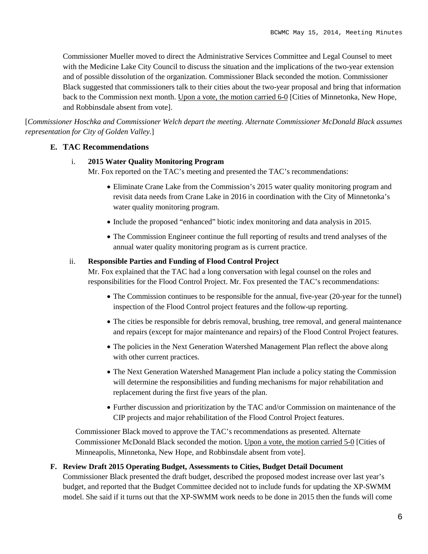Commissioner Mueller moved to direct the Administrative Services Committee and Legal Counsel to meet with the Medicine Lake City Council to discuss the situation and the implications of the two-year extension and of possible dissolution of the organization. Commissioner Black seconded the motion. Commissioner Black suggested that commissioners talk to their cities about the two-year proposal and bring that information back to the Commission next month. Upon a vote, the motion carried 6-0 [Cities of Minnetonka, New Hope, and Robbinsdale absent from vote].

[*Commissioner Hoschka and Commissioner Welch depart the meeting. Alternate Commissioner McDonald Black assumes representation for City of Golden Valley.*]

## **E. TAC Recommendations**

#### i. **2015 Water Quality Monitoring Program**

Mr. Fox reported on the TAC's meeting and presented the TAC's recommendations:

- Eliminate Crane Lake from the Commission's 2015 water quality monitoring program and revisit data needs from Crane Lake in 2016 in coordination with the City of Minnetonka's water quality monitoring program.
- Include the proposed "enhanced" biotic index monitoring and data analysis in 2015.
- The Commission Engineer continue the full reporting of results and trend analyses of the annual water quality monitoring program as is current practice.

### ii. **Responsible Parties and Funding of Flood Control Project**

Mr. Fox explained that the TAC had a long conversation with legal counsel on the roles and responsibilities for the Flood Control Project. Mr. Fox presented the TAC's recommendations:

- The Commission continues to be responsible for the annual, five-year (20-year for the tunnel) inspection of the Flood Control project features and the follow-up reporting.
- The cities be responsible for debris removal, brushing, tree removal, and general maintenance and repairs (except for major maintenance and repairs) of the Flood Control Project features.
- The policies in the Next Generation Watershed Management Plan reflect the above along with other current practices.
- The Next Generation Watershed Management Plan include a policy stating the Commission will determine the responsibilities and funding mechanisms for major rehabilitation and replacement during the first five years of the plan.
- Further discussion and prioritization by the TAC and/or Commission on maintenance of the CIP projects and major rehabilitation of the Flood Control Project features.

Commissioner Black moved to approve the TAC's recommendations as presented. Alternate Commissioner McDonald Black seconded the motion. Upon a vote, the motion carried 5-0 [Cities of Minneapolis, Minnetonka, New Hope, and Robbinsdale absent from vote].

#### **F. Review Draft 2015 Operating Budget, Assessments to Cities, Budget Detail Document**

Commissioner Black presented the draft budget, described the proposed modest increase over last year's budget, and reported that the Budget Committee decided not to include funds for updating the XP-SWMM model. She said if it turns out that the XP-SWMM work needs to be done in 2015 then the funds will come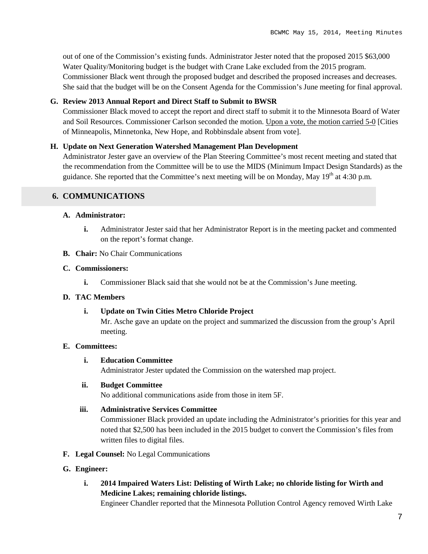out of one of the Commission's existing funds. Administrator Jester noted that the proposed 2015 \$63,000 Water Quality/Monitoring budget is the budget with Crane Lake excluded from the 2015 program. Commissioner Black went through the proposed budget and described the proposed increases and decreases. She said that the budget will be on the Consent Agenda for the Commission's June meeting for final approval.

#### **G. Review 2013 Annual Report and Direct Staff to Submit to BWSR**

Commissioner Black moved to accept the report and direct staff to submit it to the Minnesota Board of Water and Soil Resources. Commissioner Carlson seconded the motion. Upon a vote, the motion carried 5-0 [Cities of Minneapolis, Minnetonka, New Hope, and Robbinsdale absent from vote].

#### **H. Update on Next Generation Watershed Management Plan Development**

Administrator Jester gave an overview of the Plan Steering Committee's most recent meeting and stated that the recommendation from the Committee will be to use the MIDS (Minimum Impact Design Standards) as the guidance. She reported that the Committee's next meeting will be on Monday, May 19<sup>th</sup> at 4:30 p.m.

#### **6. COMMUNICATIONS**

#### **A. Administrator:**

- **i.** Administrator Jester said that her Administrator Report is in the meeting packet and commented on the report's format change.
- **B. Chair:** No Chair Communications

#### **C. Commissioners:**

**i.** Commissioner Black said that she would not be at the Commission's June meeting.

#### **D. TAC Members**

## **i. Update on Twin Cities Metro Chloride Project**

Mr. Asche gave an update on the project and summarized the discussion from the group's April meeting.

#### **E. Committees:**

#### **i. Education Committee**

Administrator Jester updated the Commission on the watershed map project.

#### **ii. Budget Committee**

No additional communications aside from those in item 5F.

#### **iii. Administrative Services Committee**

Commissioner Black provided an update including the Administrator's priorities for this year and noted that \$2,500 has been included in the 2015 budget to convert the Commission's files from written files to digital files.

- **F. Legal Counsel:** No Legal Communications
- **G. Engineer:**
	- **i. 2014 Impaired Waters List: Delisting of Wirth Lake; no chloride listing for Wirth and Medicine Lakes; remaining chloride listings.**

Engineer Chandler reported that the Minnesota Pollution Control Agency removed Wirth Lake